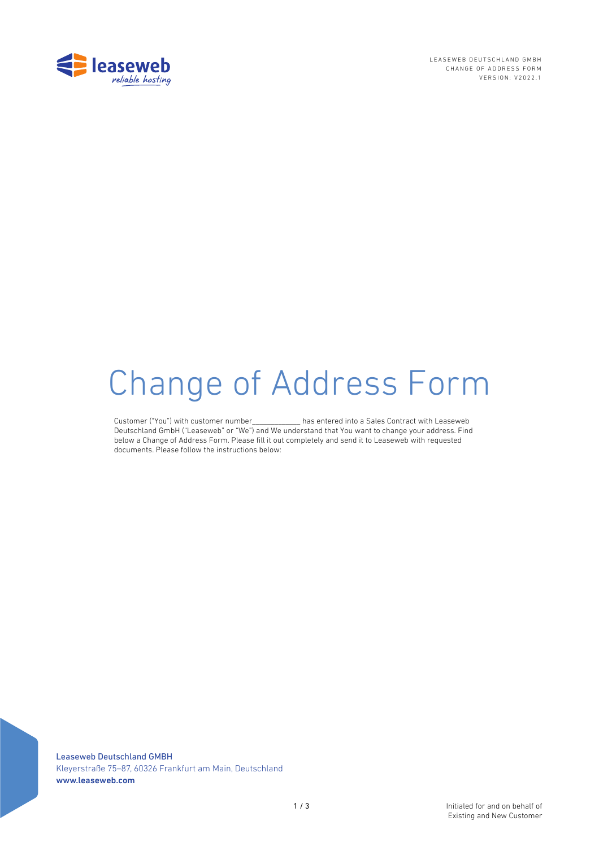

LEASEWEB DEUTSCHLAND GMBH CHANGE OF ADDRESS FORM VERSION: V2022.1

# Change of Address Form

Customer ("You") with customer number\_\_\_\_\_\_\_\_\_\_\_\_\_ has entered into a Sales Contract with Leaseweb Deutschland GmbH ("Leaseweb" or "We") and We understand that You want to change your address. Find below a Change of Address Form. Please fill it out completely and send it to Leaseweb with requested documents. Please follow the instructions below:

Leaseweb Deutschland GMBH Kleyerstraße 75-87, 60326 Frankfurt am Main, Deutschland www.leaseweb.com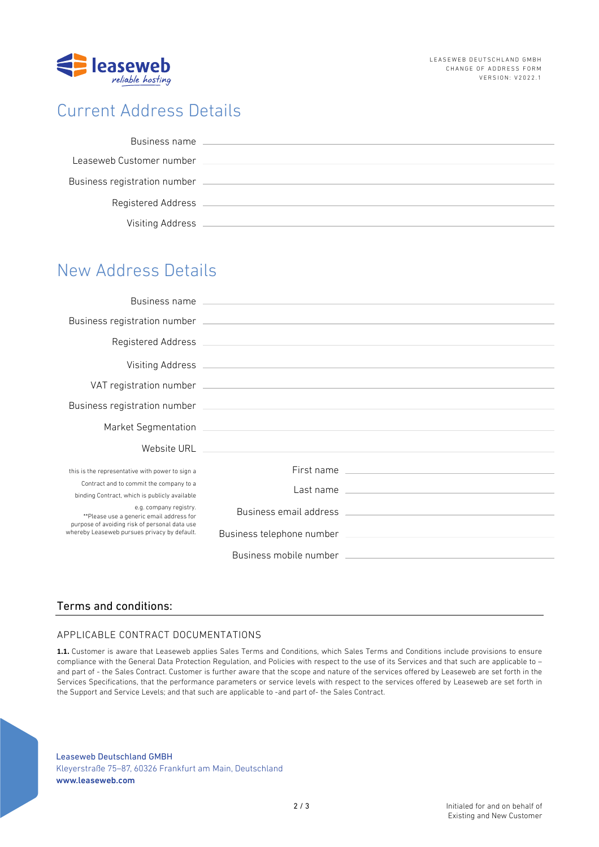

# Current Address Details

| Business name                |  |
|------------------------------|--|
| Leaseweb Customer number     |  |
| Business registration number |  |
| Registered Address           |  |
| Visiting Address             |  |

# New Address Details

|                                                                                                                                                                     | Business name experience and the contract of the contract of the contract of the contract of the contract of the contract of the contract of the contract of the contract of the contract of the contract of the contract of t |                                                                                                                                                                                                                                |
|---------------------------------------------------------------------------------------------------------------------------------------------------------------------|--------------------------------------------------------------------------------------------------------------------------------------------------------------------------------------------------------------------------------|--------------------------------------------------------------------------------------------------------------------------------------------------------------------------------------------------------------------------------|
|                                                                                                                                                                     |                                                                                                                                                                                                                                |                                                                                                                                                                                                                                |
|                                                                                                                                                                     |                                                                                                                                                                                                                                |                                                                                                                                                                                                                                |
|                                                                                                                                                                     |                                                                                                                                                                                                                                |                                                                                                                                                                                                                                |
|                                                                                                                                                                     |                                                                                                                                                                                                                                |                                                                                                                                                                                                                                |
|                                                                                                                                                                     |                                                                                                                                                                                                                                |                                                                                                                                                                                                                                |
|                                                                                                                                                                     |                                                                                                                                                                                                                                |                                                                                                                                                                                                                                |
|                                                                                                                                                                     |                                                                                                                                                                                                                                |                                                                                                                                                                                                                                |
| this is the representative with power to sign a                                                                                                                     |                                                                                                                                                                                                                                | First name                                                                                                                                                                                                                     |
| Contract and to commit the company to a<br>binding Contract, which is publicly available                                                                            |                                                                                                                                                                                                                                | Last name contract the contract of the contract of the contract of the contract of the contract of the contract of the contract of the contract of the contract of the contract of the contract of the contract of the contrac |
| e.g. company registry.<br>**Please use a generic email address for<br>purpose of avoiding risk of personal data use<br>whereby Leaseweb pursues privacy by default. |                                                                                                                                                                                                                                |                                                                                                                                                                                                                                |
|                                                                                                                                                                     |                                                                                                                                                                                                                                |                                                                                                                                                                                                                                |
|                                                                                                                                                                     |                                                                                                                                                                                                                                |                                                                                                                                                                                                                                |

## Terms and conditions:

## APPLICABLE CONTRACT DOCUMENTATIONS

**1.1.** Customer is aware that Leaseweb applies Sales Terms and Conditions, which Sales Terms and Conditions include provisions to ensure compliance with the General Data Protection Regulation, and Policies with respect to the use of its Services and that such are applicable to – and part of - the Sales Contract. Customer is further aware that the scope and nature of the services offered by Leaseweb are set forth in the Services Specifications, that the performance parameters or service levels with respect to the services offered by Leaseweb are set forth in the Support and Service Levels; and that such are applicable to -and part of- the Sales Contract.

Leaseweb Deutschland GMBH Kleyerstraße 75-87, 60326 Frankfurt am Main, Deutschland www.leaseweb.com